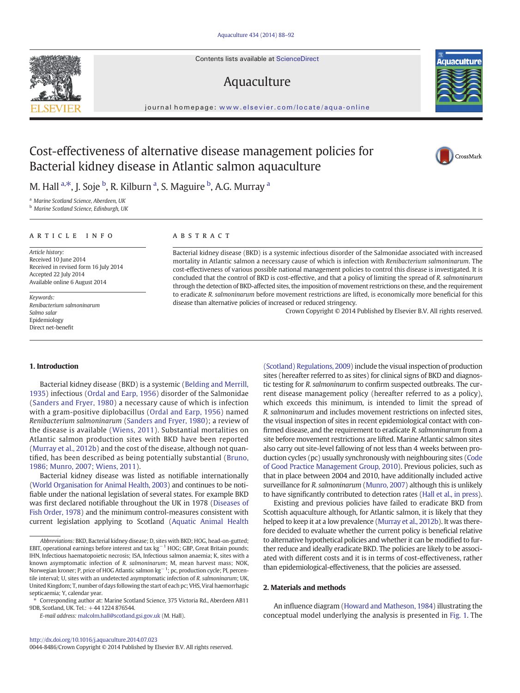Contents lists available at ScienceDirect

# Aquaculture

journal homepage: [www.elsevier.com/locate/aqua-online](www.elsevier.com/locate/aquanline)

# Cost-effectiveness of alternative disease management policies for Bacterial kidney disease in Atlantic salmon aquaculture

M. Hall <sup>a,\*</sup>, J. Soje <sup>b</sup>, R. Kilburn <sup>a</sup>, S. Maguire <sup>b</sup>, A.G. Murray <sup>a</sup>

<sup>a</sup> Marine Scotland Science, Aberdeen, UK

<sup>b</sup> Marine Scotland Science, Edinburgh, UK

## article info abstract

Article history: Received 10 June 2014 Received in revised form 16 July 2014 Accepted 22 July 2014 Available online 6 August 2014

Keywords: Renibacterium salmoninarum Salmo salar Epidemiology Direct net-benefit

Bacterial kidney disease (BKD) is a systemic infectious disorder of the Salmonidae associated with increased mortality in Atlantic salmon a necessary cause of which is infection with Renibacterium salmoninarum. The cost-effectiveness of various possible national management policies to control this disease is investigated. It is concluded that the control of BKD is cost-effective, and that a policy of limiting the spread of R. salmoninarum through the detection of BKD-affected sites, the imposition of movement restrictions on these, and the requirement to eradicate R. salmoninarum before movement restrictions are lifted, is economically more beneficial for this disease than alternative policies of increased or reduced stringency.

Crown Copyright © 2014 Published by Elsevier B.V. All rights reserved.

[\(Scotland\) Regulations, 2009](#page-4-0)) include the visual inspection of production sites (hereafter referred to as sites) for clinical signs of BKD and diagnostic testing for R. salmoninarum to confirm suspected outbreaks. The current disease management policy (hereafter referred to as a policy), which exceeds this minimum, is intended to limit the spread of R. salmoninarum and includes movement restrictions on infected sites, the visual inspection of sites in recent epidemiological contact with confirmed disease, and the requirement to eradicate R. salmoninarum from a site before movement restrictions are lifted. Marine Atlantic salmon sites also carry out site-level fallowing of not less than 4 weeks between production cycles (pc) usually synchronously with neighbouring sites [\(Code](#page-4-0) [of Good Practice Management Group, 2010\)](#page-4-0). Previous policies, such as that in place between 2004 and 2010, have additionally included active surveillance for R. salmoninarum [\(Munro, 2007](#page-4-0)) although this is unlikely to have significantly contributed to detection rates ([Hall et al., in press\)](#page-4-0). Existing and previous policies have failed to eradicate BKD from Scottish aquaculture although, for Atlantic salmon, it is likely that they helped to keep it at a low prevalence [\(Murray et al., 2012b](#page-4-0)). It was therefore decided to evaluate whether the current policy is beneficial relative to alternative hypothetical policies and whether it can be modified to further reduce and ideally eradicate BKD. The policies are likely to be associated with different costs and it is in terms of cost-effectiveness, rather than epidemiological-effectiveness, that the policies are assessed.

### 1. Introduction

Bacterial kidney disease (BKD) is a systemic ([Belding and Merrill,](#page-4-0) [1935](#page-4-0)) infectious [\(Ordal and Earp, 1956\)](#page-4-0) disorder of the Salmonidae ([Sanders and Fryer, 1980](#page-4-0)) a necessary cause of which is infection with a gram-positive diplobacillus ([Ordal and Earp, 1956\)](#page-4-0) named Renibacterium salmoninarum [\(Sanders and Fryer, 1980](#page-4-0)); a review of the disease is available ([Wiens, 2011\)](#page-4-0). Substantial mortalities on Atlantic salmon production sites with BKD have been reported [\(Murray et al., 2012b](#page-4-0)) and the cost of the disease, although not quantified, has been described as being potentially substantial ([Bruno,](#page-4-0) [1986; Munro, 2007; Wiens, 2011](#page-4-0)).

Bacterial kidney disease was listed as notifiable internationally [\(World Organisation for Animal Health, 2003\)](#page-4-0) and continues to be notifiable under the national legislation of several states. For example BKD was first declared notifiable throughout the UK in 1978 [\(Diseases of](#page-4-0) [Fish Order, 1978\)](#page-4-0) and the minimum control-measures consistent with current legislation applying to Scotland ([Aquatic Animal Health](#page-4-0)

2. Materials and methods

An influence diagram [\(Howard and Matheson, 1984\)](#page-4-0) illustrating the conceptual model underlying the analysis is presented in [Fig. 1](#page-1-0). The









Abbreviations: BKD, Bacterial kidney disease; D, sites with BKD; HOG, head-on-gutted; EBIT, operational earnings before interest and tax kg−<sup>1</sup> HOG; GBP, Great Britain pounds; IHN, Infectious haematopoietic necrosis; ISA, Infectious salmon anaemia; K, sites with a known asymptomatic infection of R. salmoninarum; M, mean harvest mass; NOK, Norwegian kroner; P, price of HOG Atlantic salmon kg $^{-1}$ ; pc, production cycle; PI, percentile interval; U, sites with an undetected asymptomatic infection of R. salmoninarum; UK, United Kingdom; T, number of days following the start of each pc; VHS, Viral haemorrhagic septicaemia; Y, calendar year.

<sup>⁎</sup> Corresponding author at: Marine Scotland Science, 375 Victoria Rd., Aberdeen AB11 9DB, Scotland, UK. Tel.: +44 1224 876544.

E-mail address: [malcolm.hall@scotland.gsi.gov.uk](mailto:malcolm.hall@scotland.gsi.gov.uk) (M. Hall).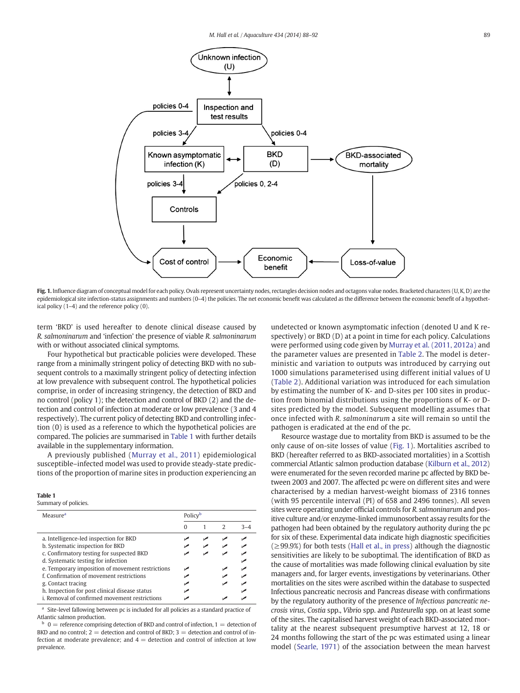<span id="page-1-0"></span>

Fig. 1. Influence diagram of conceptual model for each policy. Ovals represent uncertainty nodes, rectangles decision nodes and octagons value nodes. Bracketed characters (U, K, D) are the epidemiological site infection-status assignments and numbers (0–4) the policies. The net economic benefit was calculated as the difference between the economic benefit of a hypothetical policy (1–4) and the reference policy (0).

term 'BKD' is used hereafter to denote clinical disease caused by R. salmoninarum and 'infection' the presence of viable R. salmoninarum with or without associated clinical symptoms.

Four hypothetical but practicable policies were developed. These range from a minimally stringent policy of detecting BKD with no subsequent controls to a maximally stringent policy of detecting infection at low prevalence with subsequent control. The hypothetical policies comprise, in order of increasing stringency, the detection of BKD and no control (policy 1); the detection and control of BKD (2) and the detection and control of infection at moderate or low prevalence (3 and 4 respectively). The current policy of detecting BKD and controlling infection (0) is used as a reference to which the hypothetical policies are compared. The policies are summarised in Table 1 with further details available in the supplementary information.

A previously published ([Murray et al., 2011\)](#page-4-0) epidemiological susceptible–infected model was used to provide steady-state predictions of the proportion of marine sites in production experiencing an

#### Table 1

| Summary of policies |  |  |  |
|---------------------|--|--|--|
|---------------------|--|--|--|

| Measure <sup>a</sup>                             |  | Policy |               |  |  |
|--------------------------------------------------|--|--------|---------------|--|--|
|                                                  |  |        | $\mathcal{L}$ |  |  |
| a. Intelligence-led inspection for BKD           |  |        |               |  |  |
| b. Systematic inspection for BKD                 |  |        |               |  |  |
| c. Confirmatory testing for suspected BKD        |  |        |               |  |  |
| d. Systematic testing for infection              |  |        |               |  |  |
| e. Temporary imposition of movement restrictions |  |        |               |  |  |
| f. Confirmation of movement restrictions         |  |        |               |  |  |
| g. Contact tracing                               |  |        |               |  |  |
| h. Inspection for post clinical disease status   |  |        |               |  |  |
| i. Removal of confirmed movement restrictions    |  |        |               |  |  |

Site-level fallowing between pc is included for all policies as a standard practice of Atlantic salmon production.

 $0 =$  reference comprising detection of BKD and control of infection,  $1 =$  detection of BKD and no control;  $2 =$  detection and control of BKD;  $3 =$  detection and control of infection at moderate prevalence; and  $4 =$  detection and control of infection at low prevalence.

undetected or known asymptomatic infection (denoted U and K respectively) or BKD (D) at a point in time for each policy. Calculations were performed using code given by [Murray et al. \(2011, 2012a\)](#page-4-0) and the parameter values are presented in [Table 2.](#page-2-0) The model is deterministic and variation to outputs was introduced by carrying out 1000 simulations parameterised using different initial values of U [\(Table 2\)](#page-2-0). Additional variation was introduced for each simulation by estimating the number of K- and D-sites per 100 sites in production from binomial distributions using the proportions of K- or Dsites predicted by the model. Subsequent modelling assumes that once infected with R. salmoninarum a site will remain so until the pathogen is eradicated at the end of the pc.

Resource wastage due to mortality from BKD is assumed to be the only cause of on-site losses of value (Fig. 1). Mortalities ascribed to BKD (hereafter referred to as BKD-associated mortalities) in a Scottish commercial Atlantic salmon production database ([Kilburn et al., 2012](#page-4-0)) were enumerated for the seven recorded marine pc affected by BKD between 2003 and 2007. The affected pc were on different sites and were characterised by a median harvest-weight biomass of 2316 tonnes (with 95 percentile interval (PI) of 658 and 2496 tonnes). All seven sites were operating under official controls for R. salmoninarum and positive culture and/or enzyme-linked immunosorbent assay results for the pathogen had been obtained by the regulatory authority during the pc for six of these. Experimental data indicate high diagnostic specificities  $(\geq 99.9%)$  for both tests [\(Hall et al., in press](#page-4-0)) although the diagnostic sensitivities are likely to be suboptimal. The identification of BKD as the cause of mortalities was made following clinical evaluation by site managers and, for larger events, investigations by veterinarians. Other mortalities on the sites were ascribed within the database to suspected Infectious pancreatic necrosis and Pancreas disease with confirmations by the regulatory authority of the presence of Infectious pancreatic necrosis virus, Costia spp., Vibrio spp. and Pasteurella spp. on at least some of the sites. The capitalised harvest weight of each BKD-associated mortality at the nearest subsequent presumptive harvest at 12, 18 or 24 months following the start of the pc was estimated using a linear model [\(Searle, 1971\)](#page-4-0) of the association between the mean harvest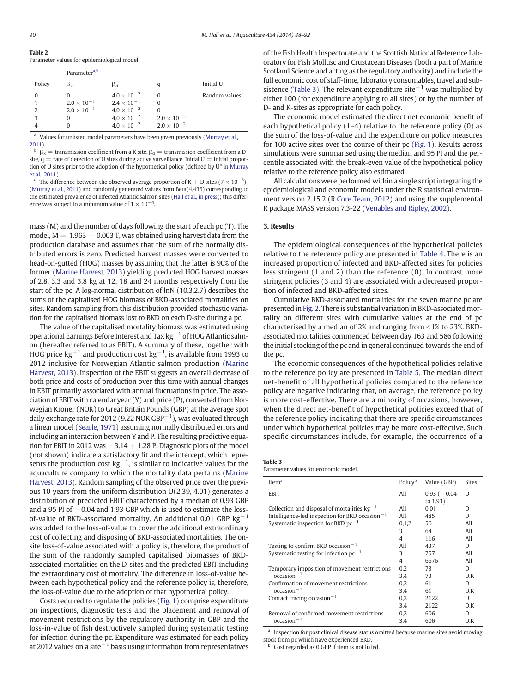<span id="page-2-0"></span>

|               | Parameter <sup>a,b</sup> |                      |                      |                            |
|---------------|--------------------------|----------------------|----------------------|----------------------------|
| Policy        | $\beta_{\rm k}$          | βd                   |                      | Initial U                  |
|               |                          | $4.0 \times 10^{-2}$ |                      | Random values <sup>c</sup> |
|               | $2.0 \times 10^{-1}$     | $2.4 \times 10^{-1}$ |                      |                            |
| $\mathcal{P}$ | $2.0 \times 10^{-1}$     | $4.0 \times 10^{-2}$ |                      |                            |
| κ             |                          | $4.0 \times 10^{-2}$ | $2.0 \times 10^{-3}$ |                            |
|               |                          | $4.0 \times 10^{-2}$ | $2.0 \times 10^{-2}$ |                            |

<sup>a</sup> Values for unlisted model parameters have been given previously [\(Murray et al.,](#page-4-0) [2011\)](#page-4-0).

 $\beta_k$  = transmission coefficient from a K site,  $\beta_d$  = transmission coefficient from a D site,  $q =$  rate of detection of U sites during active surveillance. Initial  $U =$  initial proportion of U sites prior to the adoption of the hypothetical policy (defined by U\* in [Murray](#page-4-0) [et al., 2011\)](#page-4-0).

<sup>c</sup> The difference between the observed average proportion of K + D sites (7  $\times$  10<sup>-3</sup>) ([Murray et al., 2011](#page-4-0)) and randomly generated values from Beta(4,436) corresponding to the estimated prevalence of infected Atlantic salmon sites ([Hall et al., in press](#page-4-0)); this difference was subject to a minimum value of  $1 \times 10^{-4}$ .

mass (M) and the number of days following the start of each pc (T). The model,  $M = 1.963 + 0.003$  T, was obtained using harvest data from the production database and assumes that the sum of the normally distributed errors is zero. Predicted harvest masses were converted to head-on-gutted (HOG) masses by assuming that the latter is 90% of the former ([Marine Harvest, 2013](#page-4-0)) yielding predicted HOG harvest masses of 2.8, 3.3 and 3.8 kg at 12, 18 and 24 months respectively from the start of the pc. A log-normal distribution of lnN (10.3,2.7) describes the sums of the capitalised HOG biomass of BKD-associated mortalities on sites. Random sampling from this distribution provided stochastic variation for the capitalised biomass lost to BKD on each D-site during a pc.

The value of the capitalised mortality biomass was estimated using operational Earnings Before Interest and Tax kg−<sup>1</sup> of HOG Atlantic salmon (hereafter referred to as EBIT). A summary of these, together with HOG price  $\text{kg}^{-1}$  and production cost  $\text{kg}^{-1}$ , is available from 1993 to 2012 inclusive for Norwegian Atlantic salmon production ([Marine](#page-4-0) [Harvest, 2013\)](#page-4-0). Inspection of the EBIT suggests an overall decrease of both price and costs of production over this time with annual changes in EBIT primarily associated with annual fluctuations in price. The association of EBIT with calendar year (Y) and price (P), converted from Norwegian Kroner (NOK) to Great Britain Pounds (GBP) at the average spot daily exchange rate for 2012 (9.22 NOK GBP $^{-1}$ ), was evaluated through a linear model ([Searle, 1971\)](#page-4-0) assuming normally distributed errors and including an interaction between Y and P. The resulting predictive equation for EBIT in 2012 was  $-3.14 + 1.28$  P. Diagnostic plots of the model (not shown) indicate a satisfactory fit and the intercept, which represents the production cost  $kg^{-1}$ , is similar to indicative values for the aquaculture company to which the mortality data pertains ([Marine](#page-4-0) [Harvest, 2013\)](#page-4-0). Random sampling of the observed price over the previous 10 years from the uniform distribution U(2.39, 4.01) generates a distribution of predicted EBIT characterised by a median of 0.93 GBP and a 95 PI of −0.04 and 1.93 GBP which is used to estimate the lossof-value of BKD-associated mortality. An additional 0.01 GBP  $kg^{-1}$ was added to the loss-of-value to cover the additional extraordinary cost of collecting and disposing of BKD-associated mortalities. The onsite loss-of-value associated with a policy is, therefore, the product of the sum of the randomly sampled capitalised biomasses of BKDassociated mortalities on the D-sites and the predicted EBIT including the extraordinary cost of mortality. The difference in loss-of-value between each hypothetical policy and the reference policy is, therefore, the loss-of-value due to the adoption of that hypothetical policy.

Costs required to regulate the policies ([Fig. 1\)](#page-1-0) comprise expenditure on inspections, diagnostic tests and the placement and removal of movement restrictions by the regulatory authority in GBP and the loss-in-value of fish destructively sampled during systematic testing for infection during the pc. Expenditure was estimated for each policy at 2012 values on a site<sup> $-1$ </sup> basis using information from representatives

of the Fish Health Inspectorate and the Scottish National Reference Laboratory for Fish Mollusc and Crustacean Diseases (both a part of Marine Scotland Science and acting as the regulatory authority) and include the full economic cost of staff-time, laboratory consumables, travel and subsistence (Table 3). The relevant expenditure site<sup>-1</sup> was multiplied by either 100 (for expenditure applying to all sites) or by the number of D- and K-sites as appropriate for each policy.

The economic model estimated the direct net economic benefit of each hypothetical policy (1–4) relative to the reference policy (0) as the sum of the loss-of-value and the expenditure on policy measures for 100 active sites over the course of their pc ([Fig. 1](#page-1-0)). Results across simulations were summarised using the median and 95 PI and the percentile associated with the break-even value of the hypothetical policy relative to the reference policy also estimated.

All calculations were performed within a single script integrating the epidemiological and economic models under the R statistical environment version 2.15.2 (R [Core Team, 2012\)](#page-4-0) and using the supplemental R package MASS version 7.3-22 ([Venables and Ripley, 2002\)](#page-4-0).

## 3. Results

The epidemiological consequences of the hypothetical policies relative to the reference policy are presented in [Table 4](#page-3-0). There is an increased proportion of infected and BKD-affected sites for policies less stringent (1 and 2) than the reference (0). In contrast more stringent policies (3 and 4) are associated with a decreased proportion of infected and BKD-affected sites.

Cumulative BKD-associated mortalities for the seven marine pc are presented in [Fig. 2](#page-3-0). There is substantial variation in BKD-associated mortality on different sites with cumulative values at the end of pc characterised by a median of 2% and ranging from  $\leq$  1% to 23%. BKDassociated mortalities commenced between day 163 and 586 following the initial stocking of the pc and in general continued towards the end of the pc.

The economic consequences of the hypothetical policies relative to the reference policy are presented in [Table 5](#page-3-0). The median direct net-benefit of all hypothetical policies compared to the reference policy are negative indicating that, on average, the reference policy is more cost-effective. There are a minority of occasions, however, when the direct net-benefit of hypothetical policies exceed that of the reference policy indicating that there are specific circumstances under which hypothetical policies may be more cost-effective. Such specific circumstances include, for example, the occurrence of a

Parameter values for economic model.

| Item <sup>a</sup>                                          | Policyb                  | Value (GBP)   | <b>Sites</b> |
|------------------------------------------------------------|--------------------------|---------------|--------------|
| EBIT                                                       | All                      | $0.93(-0.04)$ | D            |
|                                                            |                          | to 1.93)      |              |
| Collection and disposal of mortalities $kg^{-1}$           | All                      | 0.01          | D            |
| Intelligence-led inspection for BKD occasion $^{-1}$       | All                      | 485           | D            |
| Systematic inspection for BKD $pc^{-1}$                    | 0.1.2                    | 56            | All          |
|                                                            | 3                        | 64            | All          |
|                                                            | $\overline{\mathcal{A}}$ | 116           | All          |
| Testing to confirm BKD occasion <sup><math>-1</math></sup> | All                      | 437           | D            |
| Systematic testing for infection $pc^{-1}$                 | 3                        | 757           | All          |
|                                                            | 4                        | 6676          | All          |
| Temporary imposition of movement restrictions              | 0,2                      | 73            | D            |
| $occasion^{-1}$                                            | 3,4                      | 73            | D,K          |
| Confirmation of movement restrictions                      | 0.2                      | 61            | D            |
| $occasion^{-1}$                                            | 3.4                      | 61            | D,K          |
| Contact tracing occasion <sup>-1</sup>                     | 0.2                      | 2122          | D            |
|                                                            | 3,4                      | 2122          | D,K          |
| Removal of confirmed movement restrictions                 | 0,2                      | 606           | D            |
| $occasion^{-1}$                                            | 3,4                      | 606           | D,K          |

<sup>a</sup> Inspection for post clinical disease status omitted because marine sites avoid moving stock from pc which have experienced BKD.

Cost regarded as 0 GBP if item is not listed.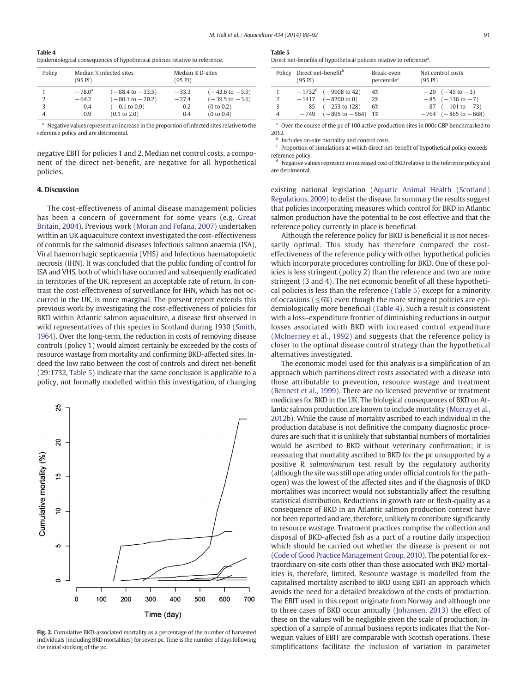<span id="page-3-0"></span>Table 4 Epidemiological consequences of hypothetical policies relative to reference.

| Policy | (95 PI)         | Median % infected sites     | Median % D-sites<br>(95 PI) |                            |
|--------|-----------------|-----------------------------|-----------------------------|----------------------------|
| 2      | $-78.0^{\rm a}$ | $(-88.4 \text{ to } -33.5)$ | $-33.3$                     | $(-43.6 \text{ to } -5.9)$ |
|        | $-64.2$         | $(-80.1 \text{ to } -20.2)$ | $-27.4$                     | $(-39.5 \text{ to } -3.6)$ |
| 3      | 0.4             | $(-0.1 \text{ to } 0.9)$    | 0.2                         | (0 to 0.2)                 |
|        | 09              | $(0.1 \text{ to } 2.0)$     | 0.4                         | (0 to 0.4)                 |

Negative values represent an increase in the proportion of infected sites relative to the reference policy and are detrimental.

negative EBIT for policies 1 and 2. Median net control costs, a component of the direct net-benefit, are negative for all hypothetical policies.

### 4. Discussion

The cost-effectiveness of animal disease management policies has been a concern of government for some years (e.g. [Great](#page-4-0) [Britain, 2004\)](#page-4-0). Previous work [\(Moran and Fofana, 2007](#page-4-0)) undertaken within an UK aquaculture context investigated the cost-effectiveness of controls for the salmonid diseases Infectious salmon anaemia (ISA), Viral haemorrhagic septicaemia (VHS) and Infectious haematopoietic necrosis (IHN). It was concluded that the public funding of control for ISA and VHS, both of which have occurred and subsequently eradicated in territories of the UK, represent an acceptable rate of return. In contrast the cost-effectiveness of surveillance for IHN, which has not occurred in the UK, is more marginal. The present report extends this previous work by investigating the cost-effectiveness of policies for BKD within Atlantic salmon aquaculture, a disease first observed in wild representatives of this species in Scotland during 1930 ([Smith,](#page-4-0) [1964\)](#page-4-0). Over the long-term, the reduction in costs of removing disease controls (policy 1) would almost certainly be exceeded by the costs of resource wastage from mortality and confirming BKD-affected sites. Indeed the low ratio between the cost of controls and direct net-benefit (29:1732, Table 5) indicate that the same conclusion is applicable to a policy, not formally modelled within this investigation, of changing



Fig. 2. Cumulative BKD-associated mortality as a percentage of the number of harvested individuals (including BKD mortalities) for seven pc. Time is the number of days following the initial stocking of the pc.

| m.<br>× | ۰. | $\sim$ |  |  |
|---------|----|--------|--|--|
|         |    |        |  |  |

Direct net-benefits of hypothetical policies relative to reference<sup>a</sup>.

|   | Policy Direct net-benefit <sup>b</sup><br>$(95 \text{ PI})$ |                                                                                                                                     | Break-even<br>percentile <sup>c</sup> | Net control costs<br>$(95 \text{ PI})$                                                                                         |
|---|-------------------------------------------------------------|-------------------------------------------------------------------------------------------------------------------------------------|---------------------------------------|--------------------------------------------------------------------------------------------------------------------------------|
| 3 |                                                             | $-1732^d$ (-9908 to 42)<br>$-1417$ $(-8200 \text{ to } 0)$<br>$-85$ $(-253 \text{ to } 128)$<br>$-749$ $(-895 \text{ to } -564)$ 1% | 4%<br>2%<br>6%                        | $-29$ $(-45 \text{ to } -3)$<br>$-85$ $(-136 \text{ to } -7)$<br>$-87$ ( $-101$ to $-73$ )<br>$-764$ $(-865 \text{ to } -668)$ |

<sup>a</sup> Over the course of the pc of 100 active production sites in 000s GBP benchmarked to 2012.

**b** Includes on-site mortality and control costs.

Proportion of simulations at which direct net-benefit of hypothetical policy exceeds reference policy.

Negative values represent an increased cost of BKD relative to the reference policy and are detrimental.

existing national legislation ([Aquatic Animal Health \(Scotland\)](#page-4-0) [Regulations, 2009](#page-4-0)) to delist the disease. In summary the results suggest that policies incorporating measures which control for BKD in Atlantic salmon production have the potential to be cost effective and that the reference policy currently in place is beneficial.

Although the reference policy for BKD is beneficial it is not necessarily optimal. This study has therefore compared the costeffectiveness of the reference policy with other hypothetical policies which incorporate procedures controlling for BKD. One of these policies is less stringent (policy 2) than the reference and two are more stringent (3 and 4). The net economic benefit of all these hypothetical policies is less than the reference (Table 5) except for a minority of occasions (≤6%) even though the more stringent policies are epidemiologically more beneficial (Table 4). Such a result is consistent with a loss–expenditure frontier of diminishing reductions in output losses associated with BKD with increased control expenditure [\(McInerney et al., 1992](#page-4-0)) and suggests that the reference policy is closer to the optimal disease control strategy than the hypothetical alternatives investigated.

The economic model used for this analysis is a simplification of an approach which partitions direct costs associated with a disease into those attributable to prevention, resource wastage and treatment [\(Bennett et al., 1999](#page-4-0)). There are no licensed preventive or treatment medicines for BKD in the UK. The biological consequences of BKD on Atlantic salmon production are known to include mortality [\(Murray et al.,](#page-4-0) [2012b\)](#page-4-0). While the cause of mortality ascribed to each individual in the production database is not definitive the company diagnostic procedures are such that it is unlikely that substantial numbers of mortalities would be ascribed to BKD without veterinary confirmation; it is reassuring that mortality ascribed to BKD for the pc unsupported by a positive R. salmoninarum test result by the regulatory authority (although the site was still operating under official controls for the pathogen) was the lowest of the affected sites and if the diagnosis of BKD mortalities was incorrect would not substantially affect the resulting statistical distribution. Reductions in growth rate or flesh-quality as a consequence of BKD in an Atlantic salmon production context have not been reported and are, therefore, unlikely to contribute significantly to resource wastage. Treatment practices comprise the collection and disposal of BKD-affected fish as a part of a routine daily inspection which should be carried out whether the disease is present or not [\(Code of Good Practice Management Group, 2010\)](#page-4-0). The potential for extraordinary on-site costs other than those associated with BKD mortalities is, therefore, limited. Resource wastage is modelled from the capitalised mortality ascribed to BKD using EBIT an approach which avoids the need for a detailed breakdown of the costs of production. The EBIT used in this report originate from Norway and although one to three cases of BKD occur annually ([Johansen, 2013](#page-4-0)) the effect of these on the values will be negligible given the scale of production. Inspection of a sample of annual business reports indicates that the Norwegian values of EBIT are comparable with Scottish operations. These simplifications facilitate the inclusion of variation in parameter